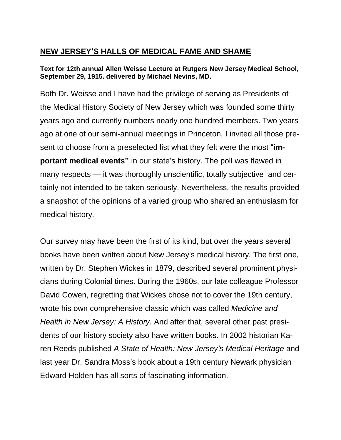## **NEW JERSEY'S HALLS OF MEDICAL FAME AND SHAME**

## **Text for 12th annual Allen Weisse Lecture at Rutgers New Jersey Medical School, September 29, 1915. delivered by Michael Nevins, MD.**

Both Dr. Weisse and I have had the privilege of serving as Presidents of the Medical History Society of New Jersey which was founded some thirty years ago and currently numbers nearly one hundred members. Two years ago at one of our semi-annual meetings in Princeton, I invited all those present to choose from a preselected list what they felt were the most "**important medical events"** in our state's history. The poll was flawed in many respects — it was thoroughly unscientific, totally subjective and certainly not intended to be taken seriously. Nevertheless, the results provided a snapshot of the opinions of a varied group who shared an enthusiasm for medical history.

Our survey may have been the first of its kind, but over the years several books have been written about New Jersey's medical history. The first one, written by Dr. Stephen Wickes in 1879, described several prominent physicians during Colonial times. During the 1960s, our late colleague Professor David Cowen, regretting that Wickes chose not to cover the 19th century, wrote his own comprehensive classic which was called *Medicine and Health in New Jersey: A History.* And after that, several other past presidents of our history society also have written books. In 2002 historian Karen Reeds published *A State of Health: New Jersey's Medical Heritage* and last year Dr. Sandra Moss's book about a 19th century Newark physician Edward Holden has all sorts of fascinating information.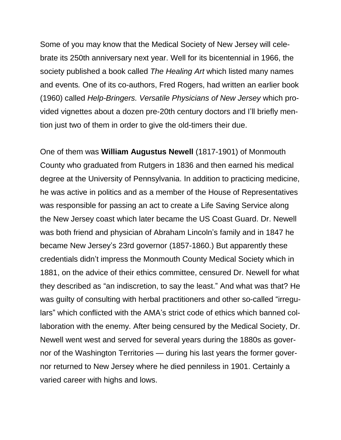Some of you may know that the Medical Society of New Jersey will celebrate its 250th anniversary next year. Well for its bicentennial in 1966, the society published a book called *The Healing Art* which listed many names and events*.* One of its co-authors, Fred Rogers, had written an earlier book (1960) called *Help-Bringers. Versatile Physicians of New Jersey* which provided vignettes about a dozen pre-20th century doctors and I'll briefly mention just two of them in order to give the old-timers their due.

One of them was **William Augustus Newell** (1817-1901) of Monmouth County who graduated from Rutgers in 1836 and then earned his medical degree at the University of Pennsylvania. In addition to practicing medicine, he was active in politics and as a member of the House of Representatives was responsible for passing an act to create a Life Saving Service along the New Jersey coast which later became the US Coast Guard. Dr. Newell was both friend and physician of Abraham Lincoln's family and in 1847 he became New Jersey's 23rd governor (1857-1860.) But apparently these credentials didn't impress the Monmouth County Medical Society which in 1881, on the advice of their ethics committee, censured Dr. Newell for what they described as "an indiscretion, to say the least." And what was that? He was guilty of consulting with herbal practitioners and other so-called "irregulars" which conflicted with the AMA's strict code of ethics which banned collaboration with the enemy. After being censured by the Medical Society, Dr. Newell went west and served for several years during the 1880s as governor of the Washington Territories — during his last years the former governor returned to New Jersey where he died penniless in 1901. Certainly a varied career with highs and lows.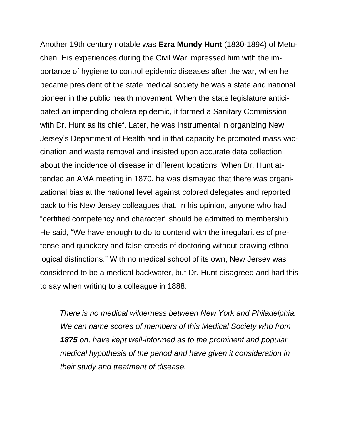Another 19th century notable was **Ezra Mundy Hunt** (1830-1894) of Metuchen. His experiences during the Civil War impressed him with the importance of hygiene to control epidemic diseases after the war, when he became president of the state medical society he was a state and national pioneer in the public health movement. When the state legislature anticipated an impending cholera epidemic, it formed a Sanitary Commission with Dr. Hunt as its chief. Later, he was instrumental in organizing New Jersey's Department of Health and in that capacity he promoted mass vaccination and waste removal and insisted upon accurate data collection about the incidence of disease in different locations. When Dr. Hunt attended an AMA meeting in 1870, he was dismayed that there was organizational bias at the national level against colored delegates and reported back to his New Jersey colleagues that, in his opinion, anyone who had "certified competency and character" should be admitted to membership. He said, "We have enough to do to contend with the irregularities of pretense and quackery and false creeds of doctoring without drawing ethnological distinctions." With no medical school of its own, New Jersey was considered to be a medical backwater, but Dr. Hunt disagreed and had this to say when writing to a colleague in 1888:

 *There is no medical wilderness between New York and Philadelphia. We can name scores of members of this Medical Society who from 1875 on, have kept well-informed as to the prominent and popular medical hypothesis of the period and have given it consideration in their study and treatment of disease.*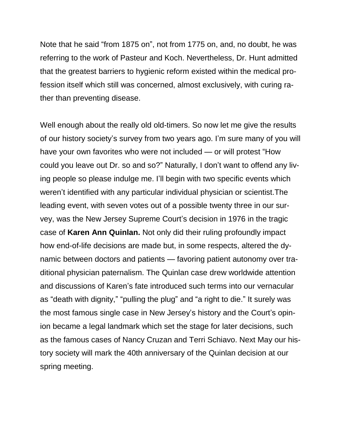Note that he said "from 1875 on", not from 1775 on, and, no doubt, he was referring to the work of Pasteur and Koch. Nevertheless, Dr. Hunt admitted that the greatest barriers to hygienic reform existed within the medical profession itself which still was concerned, almost exclusively, with curing rather than preventing disease.

Well enough about the really old old-timers. So now let me give the results of our history society's survey from two years ago. I'm sure many of you will have your own favorites who were not included — or will protest "How could you leave out Dr. so and so?" Naturally, I don't want to offend any living people so please indulge me. I'll begin with two specific events which weren't identified with any particular individual physician or scientist.The leading event, with seven votes out of a possible twenty three in our survey, was the New Jersey Supreme Court's decision in 1976 in the tragic case of **Karen Ann Quinlan.** Not only did their ruling profoundly impact how end-of-life decisions are made but, in some respects, altered the dynamic between doctors and patients — favoring patient autonomy over traditional physician paternalism. The Quinlan case drew worldwide attention and discussions of Karen's fate introduced such terms into our vernacular as "death with dignity," "pulling the plug" and "a right to die." It surely was the most famous single case in New Jersey's history and the Court's opinion became a legal landmark which set the stage for later decisions, such as the famous cases of Nancy Cruzan and Terri Schiavo. Next May our history society will mark the 40th anniversary of the Quinlan decision at our spring meeting.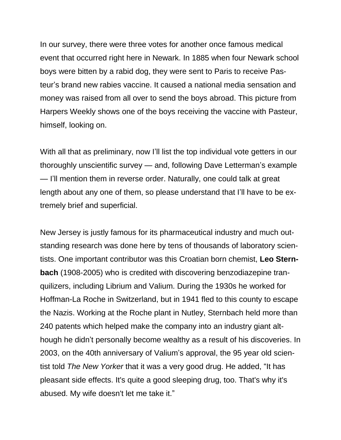In our survey, there were three votes for another once famous medical event that occurred right here in Newark. In 1885 when four Newark school boys were bitten by a rabid dog, they were sent to Paris to receive Pasteur's brand new rabies vaccine. It caused a national media sensation and money was raised from all over to send the boys abroad. This picture from Harpers Weekly shows one of the boys receiving the vaccine with Pasteur, himself, looking on.

With all that as preliminary, now I'll list the top individual vote getters in our thoroughly unscientific survey — and, following Dave Letterman's example — I'll mention them in reverse order. Naturally, one could talk at great length about any one of them, so please understand that I'll have to be extremely brief and superficial.

New Jersey is justly famous for its pharmaceutical industry and much outstanding research was done here by tens of thousands of laboratory scientists. One important contributor was this Croatian born chemist, **Leo Sternbach** (1908-2005) who is credited with discovering benzodiazepine tranquilizers, including Librium and Valium. During the 1930s he worked for Hoffman-La Roche in Switzerland, but in 1941 fled to this county to escape the Nazis. Working at the Roche plant in Nutley, Sternbach held more than 240 patents which helped make the company into an industry giant although he didn't personally become wealthy as a result of his discoveries. In 2003, on the 40th anniversary of Valium's approval, the 95 year old scientist told *The New Yorker* that it was a very good drug. He added, "It has pleasant side effects. It's quite a good sleeping drug, too. That's why it's abused. My wife doesn't let me take it."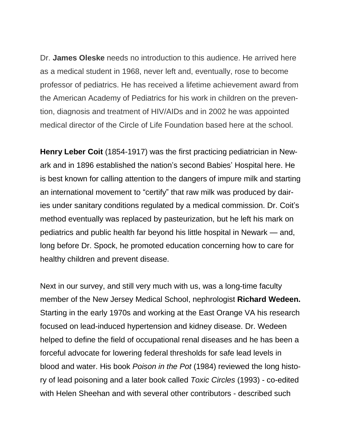Dr. **James Oleske** needs no introduction to this audience. He arrived here as a medical student in 1968, never left and, eventually, rose to become professor of pediatrics. He has received a lifetime achievement award from the American Academy of Pediatrics for his work in children on the prevention, diagnosis and treatment of HIV/AIDs and in 2002 he was appointed medical director of the Circle of Life Foundation based here at the school.

**Henry Leber Coit** (1854-1917) was the first practicing pediatrician in Newark and in 1896 established the nation's second Babies' Hospital here. He is best known for calling attention to the dangers of impure milk and starting an international movement to "certify" that raw milk was produced by dairies under sanitary conditions regulated by a medical commission. Dr. Coit's method eventually was replaced by pasteurization, but he left his mark on pediatrics and public health far beyond his little hospital in Newark — and, long before Dr. Spock, he promoted education concerning how to care for healthy children and prevent disease.

Next in our survey, and still very much with us, was a long-time faculty member of the New Jersey Medical School, nephrologist **Richard Wedeen.** Starting in the early 1970s and working at the East Orange VA his research focused on lead-induced hypertension and kidney disease. Dr. Wedeen helped to define the field of occupational renal diseases and he has been a forceful advocate for lowering federal thresholds for safe lead levels in blood and water. His book *Poison in the Pot* (1984) reviewed the long history of lead poisoning and a later book called *Toxic Circles* (1993) - co-edited with Helen Sheehan and with several other contributors - described such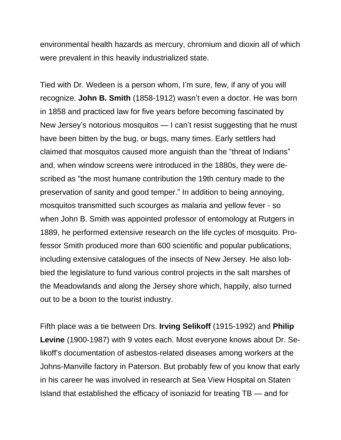environmental health hazards as mercury, chromium and dioxin all of which were prevalent in this heavily industrialized state.

Tied with Dr. Wedeen is a person whom, I'm sure, few, if any of you will recognize. **John B. Smith** (1858-1912) wasn't even a doctor. He was born in 1858 and practiced law for five years before becoming fascinated by New Jersey's notorious mosquitos — I can't resist suggesting that he must have been bitten by the bug, or bugs, many times. Early settlers had claimed that mosquitos caused more anguish than the "threat of Indians" and, when window screens were introduced in the 1880s, they were described as "the most humane contribution the 19th century made to the preservation of sanity and good temper." In addition to being annoying, mosquitos transmitted such scourges as malaria and yellow fever - so when John B. Smith was appointed professor of entomology at Rutgers in 1889, he performed extensive research on the life cycles of mosquito. Professor Smith produced more than 600 scientific and popular publications, including extensive catalogues of the insects of New Jersey. He also lobbied the legislature to fund various control projects in the salt marshes of the Meadowlands and along the Jersey shore which, happily, also turned out to be a boon to the tourist industry.

Fifth place was a tie between Drs. **Irving Selikoff** (1915-1992) and **Philip Levine** (1900-1987) with 9 votes each. Most everyone knows about Dr. Selikoff's documentation of asbestos-related diseases among workers at the Johns-Manville factory in Paterson. But probably few of you know that early in his career he was involved in research at Sea View Hospital on Staten Island that established the efficacy of isoniazid for treating TB — and for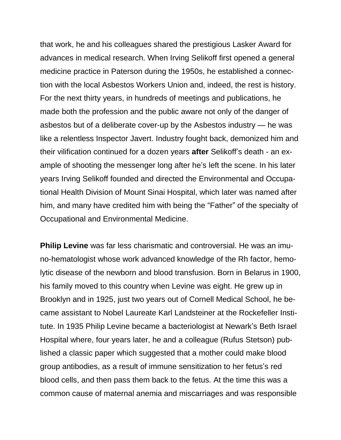that work, he and his colleagues shared the prestigious Lasker Award for advances in medical research. When Irving Selikoff first opened a general medicine practice in Paterson during the 1950s, he established a connection with the local Asbestos Workers Union and, indeed, the rest is history. For the next thirty years, in hundreds of meetings and publications, he made both the profession and the public aware not only of the danger of asbestos but of a deliberate cover-up by the Asbestos industry — he was like a relentless Inspector Javert. Industry fought back, demonized him and their vilification continued for a dozen years **after** Selikoff's death - an example of shooting the messenger long after he's left the scene. In his later years Irving Selikoff founded and directed the Environmental and Occupational Health Division of Mount Sinai Hospital, which later was named after him, and many have credited him with being the "Father" of the specialty of Occupational and Environmental Medicine.

**Philip Levine** was far less charismatic and controversial. He was an imuno-hematologist whose work advanced knowledge of the Rh factor, hemolytic disease of the newborn and blood transfusion. Born in Belarus in 1900, his family moved to this country when Levine was eight. He grew up in Brooklyn and in 1925, just two years out of Cornell Medical School, he became assistant to Nobel Laureate Karl Landsteiner at the Rockefeller Institute. In 1935 Philip Levine became a bacteriologist at Newark's Beth Israel Hospital where, four years later, he and a colleague (Rufus Stetson) published a classic paper which suggested that a mother could make blood group antibodies, as a result of immune sensitization to her fetus's red blood cells, and then pass them back to the fetus. At the time this was a common cause of maternal anemia and miscarriages and was responsible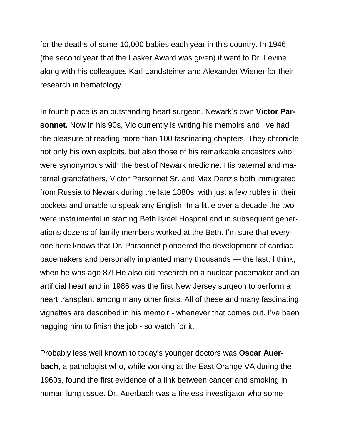for the deaths of some 10,000 babies each year in this country. In 1946 (the second year that the Lasker Award was given) it went to Dr. Levine along with his colleagues Karl Landsteiner and Alexander Wiener for their research in hematology.

In fourth place is an outstanding heart surgeon, Newark's own **Victor Parsonnet.** Now in his 90s, Vic currently is writing his memoirs and I've had the pleasure of reading more than 100 fascinating chapters. They chronicle not only his own exploits, but also those of his remarkable ancestors who were synonymous with the best of Newark medicine. His paternal and maternal grandfathers, Victor Parsonnet Sr. and Max Danzis both immigrated from Russia to Newark during the late 1880s, with just a few rubles in their pockets and unable to speak any English. In a little over a decade the two were instrumental in starting Beth Israel Hospital and in subsequent generations dozens of family members worked at the Beth. I'm sure that everyone here knows that Dr. Parsonnet pioneered the development of cardiac pacemakers and personally implanted many thousands — the last, I think, when he was age 87! He also did research on a nuclear pacemaker and an artificial heart and in 1986 was the first New Jersey surgeon to perform a heart transplant among many other firsts. All of these and many fascinating vignettes are described in his memoir - whenever that comes out. I've been nagging him to finish the job - so watch for it.

Probably less well known to today's younger doctors was **Oscar Auerbach**, a pathologist who, while working at the East Orange VA during the 1960s, found the first evidence of a link between cancer and smoking in human lung tissue. Dr. Auerbach was a tireless investigator who some-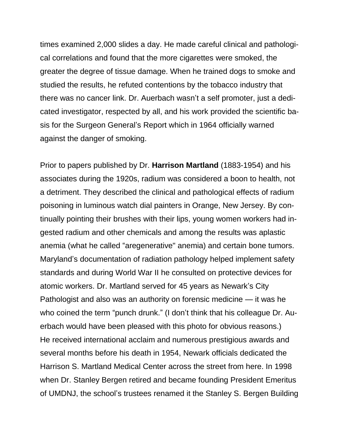times examined 2,000 slides a day. He made careful clinical and pathological correlations and found that the more cigarettes were smoked, the greater the degree of tissue damage. When he trained dogs to smoke and studied the results, he refuted contentions by the tobacco industry that there was no cancer link. Dr. Auerbach wasn't a self promoter, just a dedicated investigator, respected by all, and his work provided the scientific basis for the Surgeon General's Report which in 1964 officially warned against the danger of smoking.

Prior to papers published by Dr. **Harrison Martland** (1883-1954) and his associates during the 1920s, radium was considered a boon to health, not a detriment. They described the clinical and pathological effects of radium poisoning in luminous watch dial painters in Orange, New Jersey. By continually pointing their brushes with their lips, young women workers had ingested radium and other chemicals and among the results was aplastic anemia (what he called "aregenerative" anemia) and certain bone tumors. Maryland's documentation of radiation pathology helped implement safety standards and during World War II he consulted on protective devices for atomic workers. Dr. Martland served for 45 years as Newark's City Pathologist and also was an authority on forensic medicine — it was he who coined the term "punch drunk." (I don't think that his colleague Dr. Auerbach would have been pleased with this photo for obvious reasons.) He received international acclaim and numerous prestigious awards and several months before his death in 1954, Newark officials dedicated the Harrison S. Martland Medical Center across the street from here. In 1998 when Dr. Stanley Bergen retired and became founding President Emeritus of UMDNJ, the school's trustees renamed it the Stanley S. Bergen Building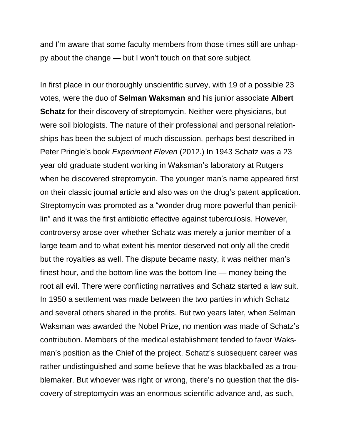and I'm aware that some faculty members from those times still are unhappy about the change — but I won't touch on that sore subject.

In first place in our thoroughly unscientific survey, with 19 of a possible 23 votes, were the duo of **Selman Waksman** and his junior associate **Albert Schatz** for their discovery of streptomycin. Neither were physicians, but were soil biologists. The nature of their professional and personal relationships has been the subject of much discussion, perhaps best described in Peter Pringle's book *Experiment Eleven* (2012.) In 1943 Schatz was a 23 year old graduate student working in Waksman's laboratory at Rutgers when he discovered streptomycin. The younger man's name appeared first on their classic journal article and also was on the drug's patent application. Streptomycin was promoted as a "wonder drug more powerful than penicillin" and it was the first antibiotic effective against tuberculosis. However, controversy arose over whether Schatz was merely a junior member of a large team and to what extent his mentor deserved not only all the credit but the royalties as well. The dispute became nasty, it was neither man's finest hour, and the bottom line was the bottom line — money being the root all evil. There were conflicting narratives and Schatz started a law suit. In 1950 a settlement was made between the two parties in which Schatz and several others shared in the profits. But two years later, when Selman Waksman was awarded the Nobel Prize, no mention was made of Schatz's contribution. Members of the medical establishment tended to favor Waksman's position as the Chief of the project. Schatz's subsequent career was rather undistinguished and some believe that he was blackballed as a troublemaker. But whoever was right or wrong, there's no question that the discovery of streptomycin was an enormous scientific advance and, as such,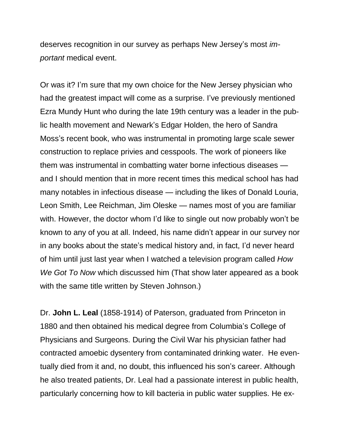deserves recognition in our survey as perhaps New Jersey's most *important* medical event.

Or was it? I'm sure that my own choice for the New Jersey physician who had the greatest impact will come as a surprise. I've previously mentioned Ezra Mundy Hunt who during the late 19th century was a leader in the public health movement and Newark's Edgar Holden, the hero of Sandra Moss's recent book, who was instrumental in promoting large scale sewer construction to replace privies and cesspools. The work of pioneers like them was instrumental in combatting water borne infectious diseases and I should mention that in more recent times this medical school has had many notables in infectious disease — including the likes of Donald Louria, Leon Smith, Lee Reichman, Jim Oleske — names most of you are familiar with. However, the doctor whom I'd like to single out now probably won't be known to any of you at all. Indeed, his name didn't appear in our survey nor in any books about the state's medical history and, in fact, I'd never heard of him until just last year when I watched a television program called *How We Got To Now* which discussed him (That show later appeared as a book with the same title written by Steven Johnson.)

Dr. **John L. Leal** (1858-1914) of Paterson, graduated from Princeton in 1880 and then obtained his medical degree from Columbia's College of Physicians and Surgeons. During the Civil War his physician father had contracted amoebic dysentery from contaminated drinking water. He eventually died from it and, no doubt, this influenced his son's career. Although he also treated patients, Dr. Leal had a passionate interest in public health, particularly concerning how to kill bacteria in public water supplies. He ex-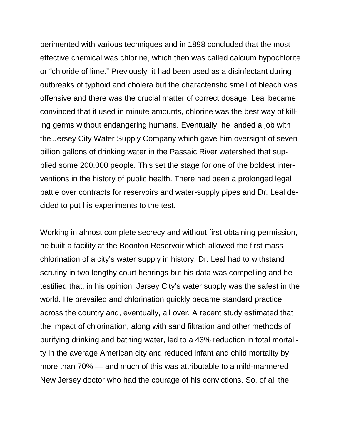perimented with various techniques and in 1898 concluded that the most effective chemical was chlorine, which then was called calcium hypochlorite or "chloride of lime." Previously, it had been used as a disinfectant during outbreaks of typhoid and cholera but the characteristic smell of bleach was offensive and there was the crucial matter of correct dosage. Leal became convinced that if used in minute amounts, chlorine was the best way of killing germs without endangering humans. Eventually, he landed a job with the Jersey City Water Supply Company which gave him oversight of seven billion gallons of drinking water in the Passaic River watershed that supplied some 200,000 people. This set the stage for one of the boldest interventions in the history of public health. There had been a prolonged legal battle over contracts for reservoirs and water-supply pipes and Dr. Leal decided to put his experiments to the test.

Working in almost complete secrecy and without first obtaining permission, he built a facility at the Boonton Reservoir which allowed the first mass chlorination of a city's water supply in history. Dr. Leal had to withstand scrutiny in two lengthy court hearings but his data was compelling and he testified that, in his opinion, Jersey City's water supply was the safest in the world. He prevailed and chlorination quickly became standard practice across the country and, eventually, all over. A recent study estimated that the impact of chlorination, along with sand filtration and other methods of purifying drinking and bathing water, led to a 43% reduction in total mortality in the average American city and reduced infant and child mortality by more than 70% — and much of this was attributable to a mild-mannered New Jersey doctor who had the courage of his convictions. So, of all the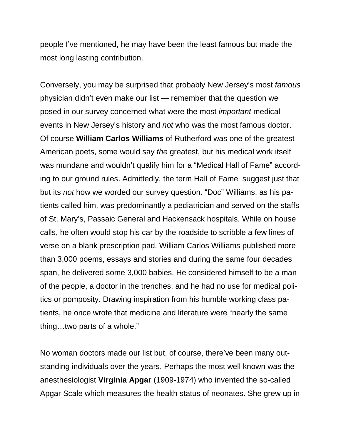people I've mentioned, he may have been the least famous but made the most long lasting contribution.

Conversely, you may be surprised that probably New Jersey's most *famous* physician didn't even make our list — remember that the question we posed in our survey concerned what were the most *important* medical events in New Jersey's history and *not* who was the most famous doctor. Of course **William Carlos Williams** of Rutherford was one of the greatest American poets, some would say *the* greatest, but his medical work itself was mundane and wouldn't qualify him for a "Medical Hall of Fame" according to our ground rules. Admittedly, the term Hall of Fame suggest just that but its *not* how we worded our survey question. "Doc" Williams, as his patients called him, was predominantly a pediatrician and served on the staffs of St. Mary's, Passaic General and Hackensack hospitals. While on house calls, he often would stop his car by the roadside to scribble a few lines of verse on a blank prescription pad. William Carlos Williams published more than 3,000 poems, essays and stories and during the same four decades span, he delivered some 3,000 babies. He considered himself to be a man of the people, a doctor in the trenches, and he had no use for medical politics or pomposity. Drawing inspiration from his humble working class patients, he once wrote that medicine and literature were "nearly the same thing…two parts of a whole."

No woman doctors made our list but, of course, there've been many outstanding individuals over the years. Perhaps the most well known was the anesthesiologist **Virginia Apgar** (1909-1974) who invented the so-called Apgar Scale which measures the health status of neonates. She grew up in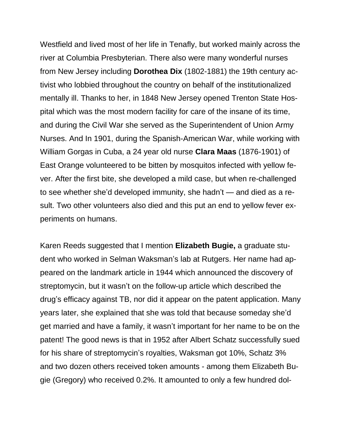Westfield and lived most of her life in Tenafly, but worked mainly across the river at Columbia Presbyterian. There also were many wonderful nurses from New Jersey including **Dorothea Dix** (1802-1881) the 19th century activist who lobbied throughout the country on behalf of the institutionalized mentally ill. Thanks to her, in 1848 New Jersey opened Trenton State Hospital which was the most modern facility for care of the insane of its time, and during the Civil War she served as the Superintendent of Union Army Nurses. And In 1901, during the Spanish-American War, while working with William Gorgas in Cuba, a 24 year old nurse **Clara Maas** (1876-1901) of East Orange volunteered to be bitten by mosquitos infected with yellow fever. After the first bite, she developed a mild case, but when re-challenged to see whether she'd developed immunity, she hadn't — and died as a result. Two other volunteers also died and this put an end to yellow fever experiments on humans.

Karen Reeds suggested that I mention **Elizabeth Bugie,** a graduate student who worked in Selman Waksman's lab at Rutgers. Her name had appeared on the landmark article in 1944 which announced the discovery of streptomycin, but it wasn't on the follow-up article which described the drug's efficacy against TB, nor did it appear on the patent application. Many years later, she explained that she was told that because someday she'd get married and have a family, it wasn't important for her name to be on the patent! The good news is that in 1952 after Albert Schatz successfully sued for his share of streptomycin's royalties, Waksman got 10%, Schatz 3% and two dozen others received token amounts - among them Elizabeth Bugie (Gregory) who received 0.2%. It amounted to only a few hundred dol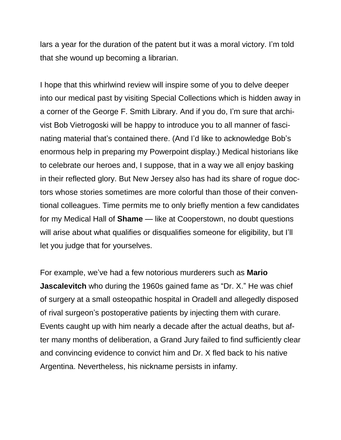lars a year for the duration of the patent but it was a moral victory. I'm told that she wound up becoming a librarian.

I hope that this whirlwind review will inspire some of you to delve deeper into our medical past by visiting Special Collections which is hidden away in a corner of the George F. Smith Library. And if you do, I'm sure that archivist Bob Vietrogoski will be happy to introduce you to all manner of fascinating material that's contained there. (And I'd like to acknowledge Bob's enormous help in preparing my Powerpoint display.) Medical historians like to celebrate our heroes and, I suppose, that in a way we all enjoy basking in their reflected glory. But New Jersey also has had its share of rogue doctors whose stories sometimes are more colorful than those of their conventional colleagues. Time permits me to only briefly mention a few candidates for my Medical Hall of **Shame** — like at Cooperstown, no doubt questions will arise about what qualifies or disqualifies someone for eligibility, but I'll let you judge that for yourselves.

For example, we've had a few notorious murderers such as **Mario Jascalevitch** who during the 1960s gained fame as "Dr. X." He was chief of surgery at a small osteopathic hospital in Oradell and allegedly disposed of rival surgeon's postoperative patients by injecting them with curare. Events caught up with him nearly a decade after the actual deaths, but after many months of deliberation, a Grand Jury failed to find sufficiently clear and convincing evidence to convict him and Dr. X fled back to his native Argentina. Nevertheless, his nickname persists in infamy.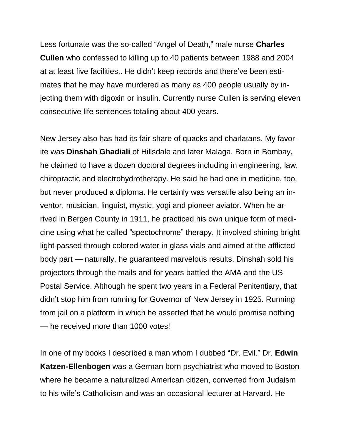Less fortunate was the so-called "Angel of Death," male nurse **Charles Cullen** who confessed to killing up to 40 patients between 1988 and 2004 at at least five facilities.. He didn't keep records and there've been estimates that he may have murdered as many as 400 people usually by injecting them with digoxin or insulin. Currently nurse Cullen is serving eleven consecutive life sentences totaling about 400 years.

New Jersey also has had its fair share of quacks and charlatans. My favorite was **Dinshah Ghadiali** of Hillsdale and later Malaga. Born in Bombay, he claimed to have a dozen doctoral degrees including in engineering, law, chiropractic and electrohydrotherapy. He said he had one in medicine, too, but never produced a diploma. He certainly was versatile also being an inventor, musician, linguist, mystic, yogi and pioneer aviator. When he arrived in Bergen County in 1911, he practiced his own unique form of medicine using what he called "spectochrome" therapy. It involved shining bright light passed through colored water in glass vials and aimed at the afflicted body part — naturally, he guaranteed marvelous results. Dinshah sold his projectors through the mails and for years battled the AMA and the US Postal Service. Although he spent two years in a Federal Penitentiary, that didn't stop him from running for Governor of New Jersey in 1925. Running from jail on a platform in which he asserted that he would promise nothing — he received more than 1000 votes!

In one of my books I described a man whom I dubbed "Dr. Evil." Dr. **Edwin Katzen-Ellenbogen** was a German born psychiatrist who moved to Boston where he became a naturalized American citizen, converted from Judaism to his wife's Catholicism and was an occasional lecturer at Harvard. He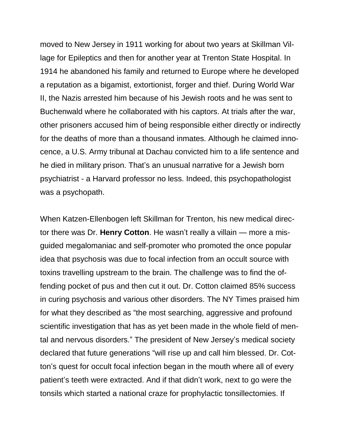moved to New Jersey in 1911 working for about two years at Skillman Village for Epileptics and then for another year at Trenton State Hospital. In 1914 he abandoned his family and returned to Europe where he developed a reputation as a bigamist, extortionist, forger and thief. During World War II, the Nazis arrested him because of his Jewish roots and he was sent to Buchenwald where he collaborated with his captors. At trials after the war, other prisoners accused him of being responsible either directly or indirectly for the deaths of more than a thousand inmates. Although he claimed innocence, a U.S. Army tribunal at Dachau convicted him to a life sentence and he died in military prison. That's an unusual narrative for a Jewish born psychiatrist - a Harvard professor no less. Indeed, this psychopathologist was a psychopath.

When Katzen-Ellenbogen left Skillman for Trenton, his new medical director there was Dr. **Henry Cotton**. He wasn't really a villain — more a misguided megalomaniac and self-promoter who promoted the once popular idea that psychosis was due to focal infection from an occult source with toxins travelling upstream to the brain. The challenge was to find the offending pocket of pus and then cut it out. Dr. Cotton claimed 85% success in curing psychosis and various other disorders. The NY Times praised him for what they described as "the most searching, aggressive and profound scientific investigation that has as yet been made in the whole field of mental and nervous disorders." The president of New Jersey's medical society declared that future generations "will rise up and call him blessed. Dr. Cotton's quest for occult focal infection began in the mouth where all of every patient's teeth were extracted. And if that didn't work, next to go were the tonsils which started a national craze for prophylactic tonsillectomies. If